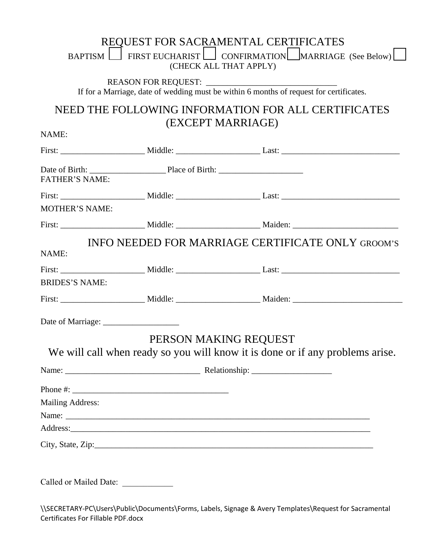|                         | REQUEST FOR SACRAMENTAL CERTIFICATES<br>BAPTISM FIRST EUCHARIST CONFIRMATION MARRIAGE (See Below)<br>(CHECK ALL THAT APPLY) |
|-------------------------|-----------------------------------------------------------------------------------------------------------------------------|
|                         | If for a Marriage, date of wedding must be within 6 months of request for certificates.                                     |
|                         | NEED THE FOLLOWING INFORMATION FOR ALL CERTIFICATES<br>(EXCEPT MARRIAGE)                                                    |
| NAME:                   |                                                                                                                             |
|                         |                                                                                                                             |
| <b>FATHER'S NAME:</b>   |                                                                                                                             |
|                         |                                                                                                                             |
| <b>MOTHER'S NAME:</b>   |                                                                                                                             |
|                         |                                                                                                                             |
| NAME:                   | INFO NEEDED FOR MARRIAGE CERTIFICATE ONLY GROOM'S                                                                           |
|                         |                                                                                                                             |
| <b>BRIDES'S NAME:</b>   |                                                                                                                             |
|                         |                                                                                                                             |
|                         |                                                                                                                             |
|                         | PERSON MAKING REQUEST<br>We will call when ready so you will know it is done or if any problems arise.                      |
|                         |                                                                                                                             |
|                         |                                                                                                                             |
| <b>Mailing Address:</b> |                                                                                                                             |
|                         | Address:                                                                                                                    |
|                         |                                                                                                                             |
|                         |                                                                                                                             |
|                         |                                                                                                                             |

\\SECRETARY-PC\Users\Public\Documents\Forms, Labels, Signage & Avery Templates\Request for Sacramental Certificates For Fillable PDF.docx